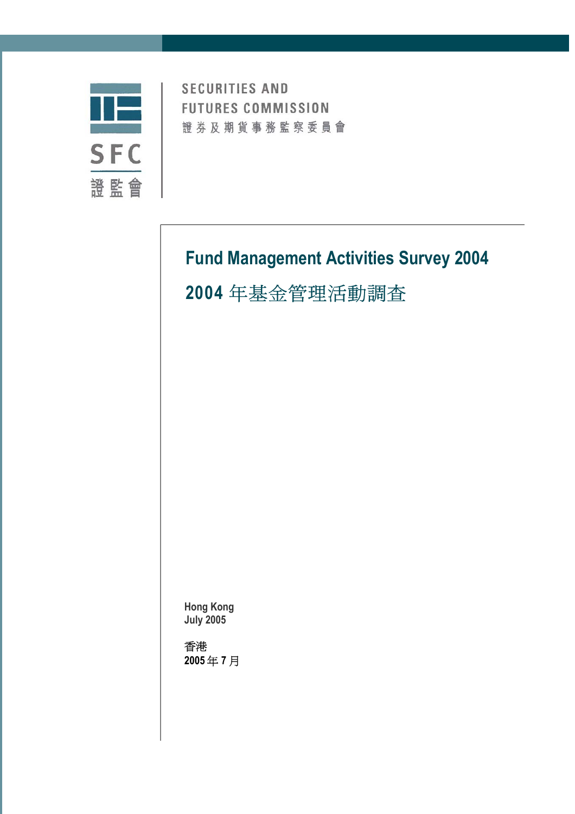

**SECURITIES AND FUTURES COMMISSION** 證券及期貨事務監察委員會

# **Fund Management Activities Survey 2004 2004** 年基金管理活動調查

**Hong Kong July 2005** 

香港 **2005** 年 **7** 月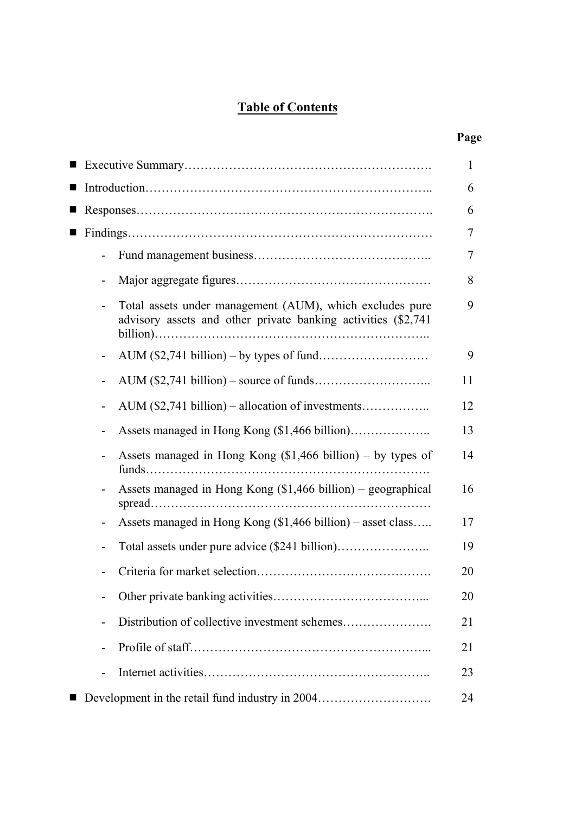# **Table of Contents**

# **Page**

|                          |                                                                                                                            | 1  |
|--------------------------|----------------------------------------------------------------------------------------------------------------------------|----|
|                          |                                                                                                                            | 6  |
|                          |                                                                                                                            | 6  |
|                          |                                                                                                                            | 7  |
|                          |                                                                                                                            | 7  |
| $\overline{\phantom{0}}$ |                                                                                                                            | 8  |
|                          | Total assets under management (AUM), which excludes pure<br>advisory assets and other private banking activities (\$2,741) | 9  |
| $\blacksquare$           |                                                                                                                            | 9  |
|                          |                                                                                                                            | 11 |
|                          |                                                                                                                            | 12 |
|                          |                                                                                                                            | 13 |
| $\overline{\phantom{a}}$ | Assets managed in Hong Kong $(\$1,466 \text{ billion}) - \text{by types of}$                                               | 14 |
| $\blacksquare$           | Assets managed in Hong Kong $(\$1,466 \text{ billion})$ – geographical<br>spread                                           | 16 |
|                          | Assets managed in Hong Kong (\$1,466 billion) - asset class                                                                | 17 |
| $\overline{a}$           |                                                                                                                            | 19 |
|                          |                                                                                                                            | 20 |
|                          |                                                                                                                            | 20 |
| -                        |                                                                                                                            | 21 |
|                          |                                                                                                                            | 21 |
|                          |                                                                                                                            | 23 |
|                          | Development in the retail fund industry in 2004                                                                            | 24 |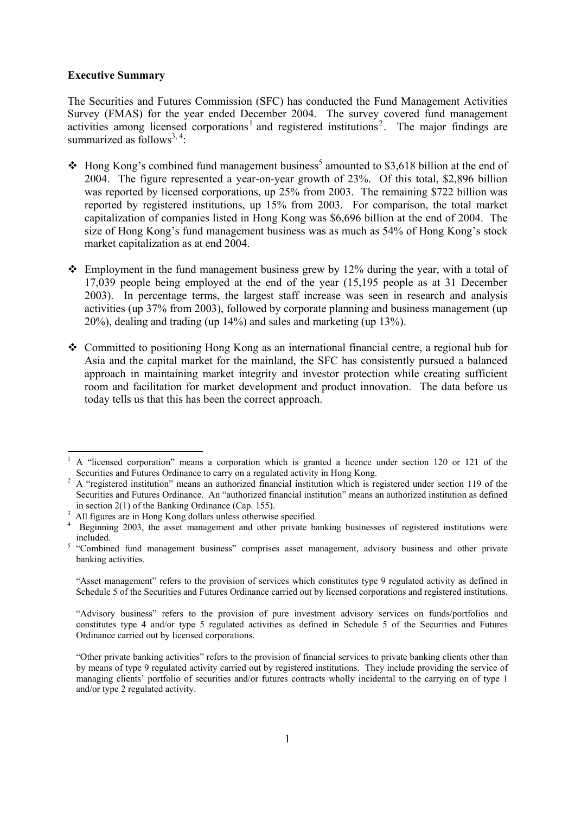#### **Executive Summary**

The Securities and Futures Commission (SFC) has conducted the Fund Management Activities Survey (FMAS) for the year ended December 2004. The survey covered fund management activities among licensed corporations<sup>1</sup> and registered institutions<sup>2</sup>. The major findings are summarized as follows<sup>3, 4</sup>:

- $\cdot$  Hong Kong's combined fund management business<sup>5</sup> amounted to \$3,618 billion at the end of 2004. The figure represented a year-on-year growth of 23%. Of this total, \$2,896 billion was reported by licensed corporations, up 25% from 2003. The remaining \$722 billion was reported by registered institutions, up 15% from 2003. For comparison, the total market capitalization of companies listed in Hong Kong was \$6,696 billion at the end of 2004. The size of Hong Kong's fund management business was as much as 54% of Hong Kong's stock market capitalization as at end 2004.
- $\triangle$  Employment in the fund management business grew by 12% during the year, with a total of 17,039 people being employed at the end of the year (15,195 people as at 31 December 2003). In percentage terms, the largest staff increase was seen in research and analysis activities (up 37% from 2003), followed by corporate planning and business management (up 20%), dealing and trading (up 14%) and sales and marketing (up 13%).
- Committed to positioning Hong Kong as an international financial centre, a regional hub for Asia and the capital market for the mainland, the SFC has consistently pursued a balanced approach in maintaining market integrity and investor protection while creating sufficient room and facilitation for market development and product innovation. The data before us today tells us that this has been the correct approach.

<sup>&</sup>lt;sup>1</sup> A "licensed corporation" means a corporation which is granted a licence under section 120 or 121 of the Securities and Futures Ordinance to carry on a regulated activity in Hong Kong.<br><sup>2</sup> A "registered institution" means an authorized financial institution which is registered under section 119 of the

Securities and Futures Ordinance. An "authorized financial institution" means an authorized institution as defined in section  $2(1)$  of the Banking Ordinance (Cap. 155).

All figures are in Hong Kong dollars unless otherwise specified.

<sup>&</sup>lt;sup>4</sup> Beginning 2003, the asset management and other private banking businesses of registered institutions were included. 5 "Combined fund management business" comprises asset management, advisory business and other private

banking activities.

 <sup>&</sup>quot;Asset management" refers to the provision of services which constitutes type 9 regulated activity as defined in Schedule 5 of the Securities and Futures Ordinance carried out by licensed corporations and registered institutions.

 <sup>&</sup>quot;Advisory business" refers to the provision of pure investment advisory services on funds/portfolios and constitutes type 4 and/or type 5 regulated activities as defined in Schedule 5 of the Securities and Futures Ordinance carried out by licensed corporations.

 <sup>&</sup>quot;Other private banking activities" refers to the provision of financial services to private banking clients other than by means of type 9 regulated activity carried out by registered institutions. They include providing the service of managing clients' portfolio of securities and/or futures contracts wholly incidental to the carrying on of type 1 and/or type 2 regulated activity.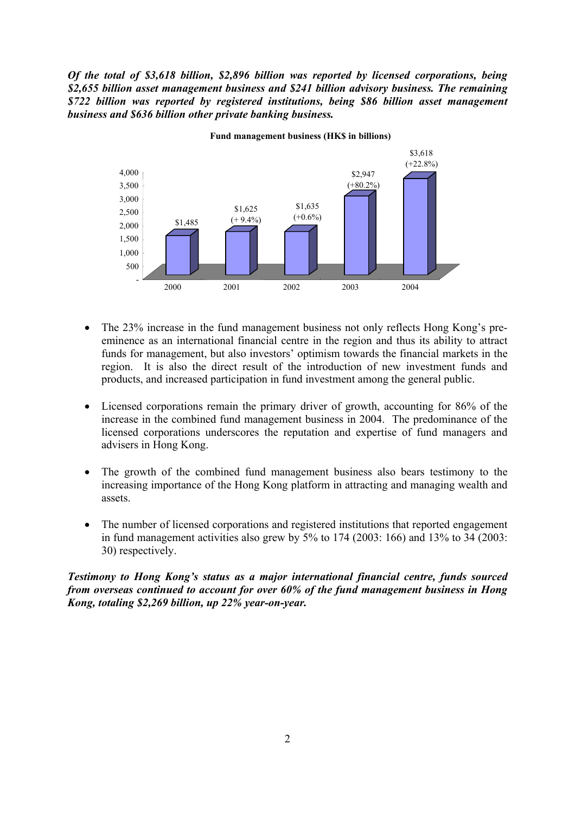*Of the total of \$3,618 billion, \$2,896 billion was reported by licensed corporations, being \$2,655 billion asset management business and \$241 billion advisory business. The remaining \$722 billion was reported by registered institutions, being \$86 billion asset management business and \$636 billion other private banking business.* 



**Fund management business (HK\$ in billions)**

- The 23% increase in the fund management business not only reflects Hong Kong's preeminence as an international financial centre in the region and thus its ability to attract funds for management, but also investors' optimism towards the financial markets in the region. It is also the direct result of the introduction of new investment funds and products, and increased participation in fund investment among the general public.
- Licensed corporations remain the primary driver of growth, accounting for 86% of the increase in the combined fund management business in 2004. The predominance of the licensed corporations underscores the reputation and expertise of fund managers and advisers in Hong Kong.
- The growth of the combined fund management business also bears testimony to the increasing importance of the Hong Kong platform in attracting and managing wealth and assets.
- The number of licensed corporations and registered institutions that reported engagement in fund management activities also grew by  $5\%$  to  $174$  (2003: 166) and  $13\%$  to  $34$  (2003: 30) respectively.

# *Testimony to Hong Kong's status as a major international financial centre, funds sourced from overseas continued to account for over 60% of the fund management business in Hong Kong, totaling \$2,269 billion, up 22% year-on-year.*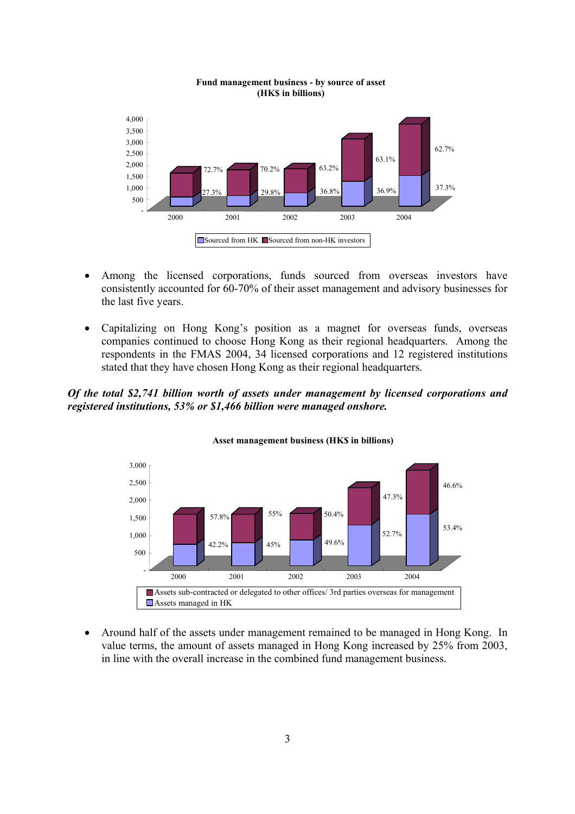

#### **Fund management business - by source of asset (HK\$ in billions)**

- Among the licensed corporations, funds sourced from overseas investors have consistently accounted for 60-70% of their asset management and advisory businesses for the last five years.
- Capitalizing on Hong Kong's position as a magnet for overseas funds, overseas companies continued to choose Hong Kong as their regional headquarters. Among the respondents in the FMAS 2004, 34 licensed corporations and 12 registered institutions stated that they have chosen Hong Kong as their regional headquarters.

# *Of the total \$2,741 billion worth of assets under management by licensed corporations and registered institutions, 53% or \$1,466 billion were managed onshore.*



**Asset management business (HK\$ in billions)**

• Around half of the assets under management remained to be managed in Hong Kong. In value terms, the amount of assets managed in Hong Kong increased by 25% from 2003, in line with the overall increase in the combined fund management business.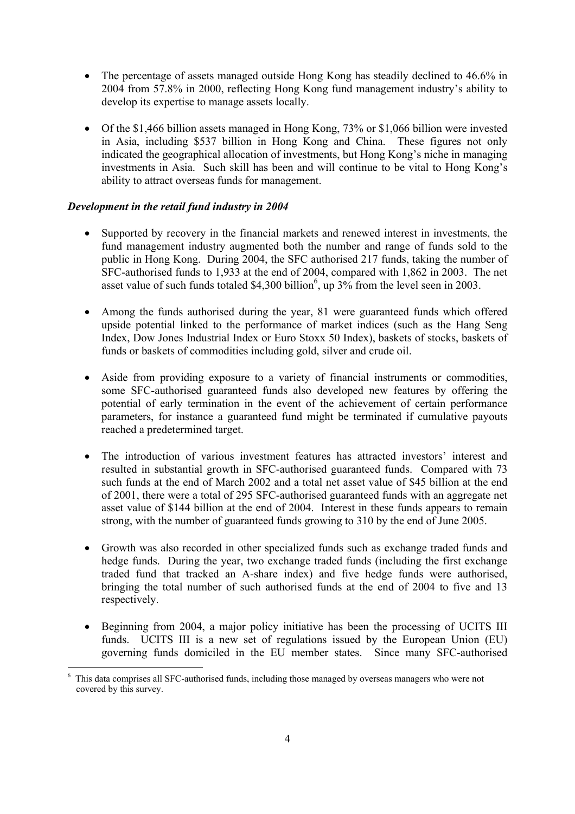- The percentage of assets managed outside Hong Kong has steadily declined to 46.6% in 2004 from 57.8% in 2000, reflecting Hong Kong fund management industry's ability to develop its expertise to manage assets locally.
- Of the \$1,466 billion assets managed in Hong Kong, 73% or \$1,066 billion were invested in Asia, including \$537 billion in Hong Kong and China. These figures not only indicated the geographical allocation of investments, but Hong Kong's niche in managing investments in Asia. Such skill has been and will continue to be vital to Hong Kong's ability to attract overseas funds for management.

# *Development in the retail fund industry in 2004*

-

- Supported by recovery in the financial markets and renewed interest in investments, the fund management industry augmented both the number and range of funds sold to the public in Hong Kong. During 2004, the SFC authorised 217 funds, taking the number of SFC-authorised funds to 1,933 at the end of 2004, compared with 1,862 in 2003. The net asset value of such funds totaled \$4,300 billion<sup>6</sup>, up  $3\%$  from the level seen in 2003.
- Among the funds authorised during the year, 81 were guaranteed funds which offered upside potential linked to the performance of market indices (such as the Hang Seng Index, Dow Jones Industrial Index or Euro Stoxx 50 Index), baskets of stocks, baskets of funds or baskets of commodities including gold, silver and crude oil.
- Aside from providing exposure to a variety of financial instruments or commodities, some SFC-authorised guaranteed funds also developed new features by offering the potential of early termination in the event of the achievement of certain performance parameters, for instance a guaranteed fund might be terminated if cumulative payouts reached a predetermined target.
- The introduction of various investment features has attracted investors' interest and resulted in substantial growth in SFC-authorised guaranteed funds. Compared with 73 such funds at the end of March 2002 and a total net asset value of \$45 billion at the end of 2001, there were a total of 295 SFC-authorised guaranteed funds with an aggregate net asset value of \$144 billion at the end of 2004. Interest in these funds appears to remain strong, with the number of guaranteed funds growing to 310 by the end of June 2005.
- Growth was also recorded in other specialized funds such as exchange traded funds and hedge funds. During the year, two exchange traded funds (including the first exchange traded fund that tracked an A-share index) and five hedge funds were authorised, bringing the total number of such authorised funds at the end of 2004 to five and 13 respectively.
- Beginning from 2004, a major policy initiative has been the processing of UCITS III funds. UCITS III is a new set of regulations issued by the European Union (EU) governing funds domiciled in the EU member states. Since many SFC-authorised

<sup>6</sup> This data comprises all SFC-authorised funds, including those managed by overseas managers who were not covered by this survey.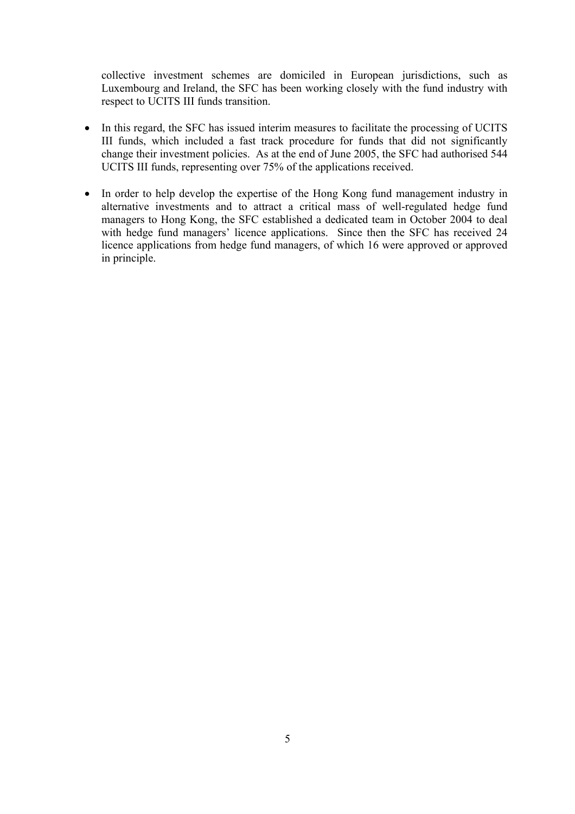collective investment schemes are domiciled in European jurisdictions, such as Luxembourg and Ireland, the SFC has been working closely with the fund industry with respect to UCITS III funds transition.

- In this regard, the SFC has issued interim measures to facilitate the processing of UCITS III funds, which included a fast track procedure for funds that did not significantly change their investment policies. As at the end of June 2005, the SFC had authorised 544 UCITS III funds, representing over 75% of the applications received.
- In order to help develop the expertise of the Hong Kong fund management industry in alternative investments and to attract a critical mass of well-regulated hedge fund managers to Hong Kong, the SFC established a dedicated team in October 2004 to deal with hedge fund managers' licence applications. Since then the SFC has received 24 licence applications from hedge fund managers, of which 16 were approved or approved in principle.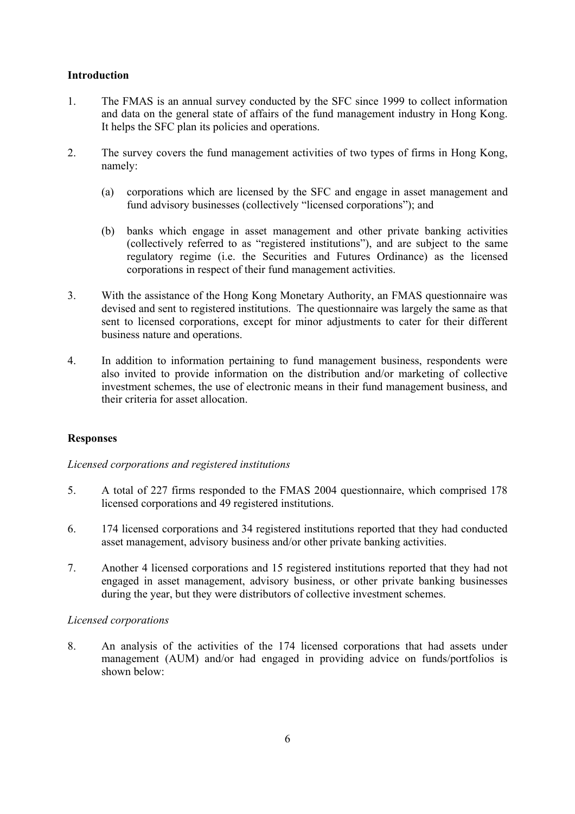# **Introduction**

- 1. The FMAS is an annual survey conducted by the SFC since 1999 to collect information and data on the general state of affairs of the fund management industry in Hong Kong. It helps the SFC plan its policies and operations.
- 2. The survey covers the fund management activities of two types of firms in Hong Kong, namely:
	- (a) corporations which are licensed by the SFC and engage in asset management and fund advisory businesses (collectively "licensed corporations"); and
	- (b) banks which engage in asset management and other private banking activities (collectively referred to as "registered institutions"), and are subject to the same regulatory regime (i.e. the Securities and Futures Ordinance) as the licensed corporations in respect of their fund management activities.
- 3. With the assistance of the Hong Kong Monetary Authority, an FMAS questionnaire was devised and sent to registered institutions. The questionnaire was largely the same as that sent to licensed corporations, except for minor adjustments to cater for their different business nature and operations.
- 4. In addition to information pertaining to fund management business, respondents were also invited to provide information on the distribution and/or marketing of collective investment schemes, the use of electronic means in their fund management business, and their criteria for asset allocation.

# **Responses**

# *Licensed corporations and registered institutions*

- 5. A total of 227 firms responded to the FMAS 2004 questionnaire, which comprised 178 licensed corporations and 49 registered institutions.
- 6. 174 licensed corporations and 34 registered institutions reported that they had conducted asset management, advisory business and/or other private banking activities.
- 7. Another 4 licensed corporations and 15 registered institutions reported that they had not engaged in asset management, advisory business, or other private banking businesses during the year, but they were distributors of collective investment schemes.

# *Licensed corporations*

8. An analysis of the activities of the 174 licensed corporations that had assets under management (AUM) and/or had engaged in providing advice on funds/portfolios is shown below: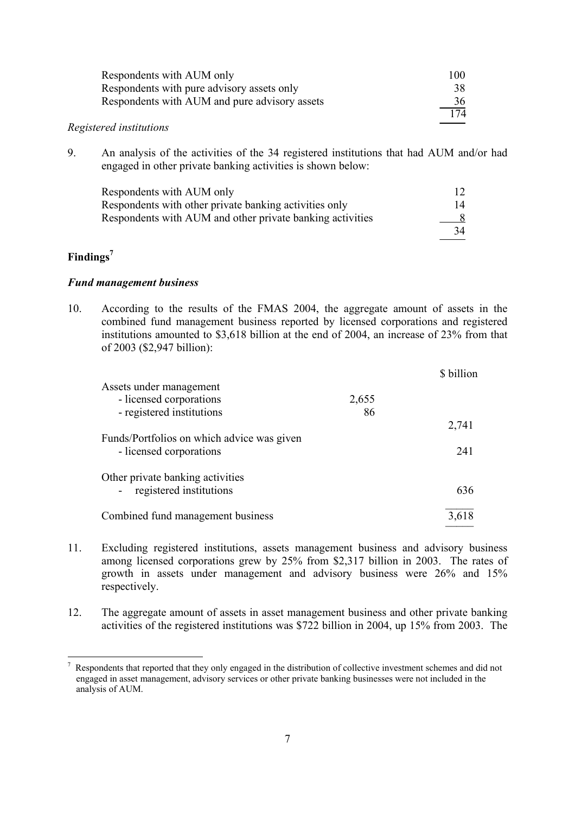| Respondents with AUM only                     | 100 |
|-----------------------------------------------|-----|
| Respondents with pure advisory assets only    | 38  |
| Respondents with AUM and pure advisory assets | 36  |
|                                               | 174 |

# *Registered institutions*

9. An analysis of the activities of the 34 registered institutions that had AUM and/or had engaged in other private banking activities is shown below:

| Respondents with AUM only                                 |               |
|-----------------------------------------------------------|---------------|
| Respondents with other private banking activities only    | 14            |
| Respondents with AUM and other private banking activities | $\frac{8}{2}$ |
|                                                           | 34            |

# **Findings7**

 $\overline{a}$ 

#### *Fund management business*

10. According to the results of the FMAS 2004, the aggregate amount of assets in the combined fund management business reported by licensed corporations and registered institutions amounted to \$3,618 billion at the end of 2004, an increase of 23% from that of 2003 (\$2,947 billion):

|                                                                       |       | \$ billion |
|-----------------------------------------------------------------------|-------|------------|
| Assets under management                                               |       |            |
| - licensed corporations                                               | 2,655 |            |
| - registered institutions                                             | 86    |            |
|                                                                       |       | 2,741      |
| Funds/Portfolios on which advice was given<br>- licensed corporations |       | 241        |
| Other private banking activities<br>registered institutions           |       | 636        |
| Combined fund management business                                     |       | 3.618      |

- 11. Excluding registered institutions, assets management business and advisory business among licensed corporations grew by 25% from \$2,317 billion in 2003. The rates of growth in assets under management and advisory business were 26% and 15% respectively.
- 12. The aggregate amount of assets in asset management business and other private banking activities of the registered institutions was \$722 billion in 2004, up 15% from 2003. The

 $<sup>7</sup>$  Respondents that reported that they only engaged in the distribution of collective investment schemes and did not</sup> engaged in asset management, advisory services or other private banking businesses were not included in the analysis of AUM.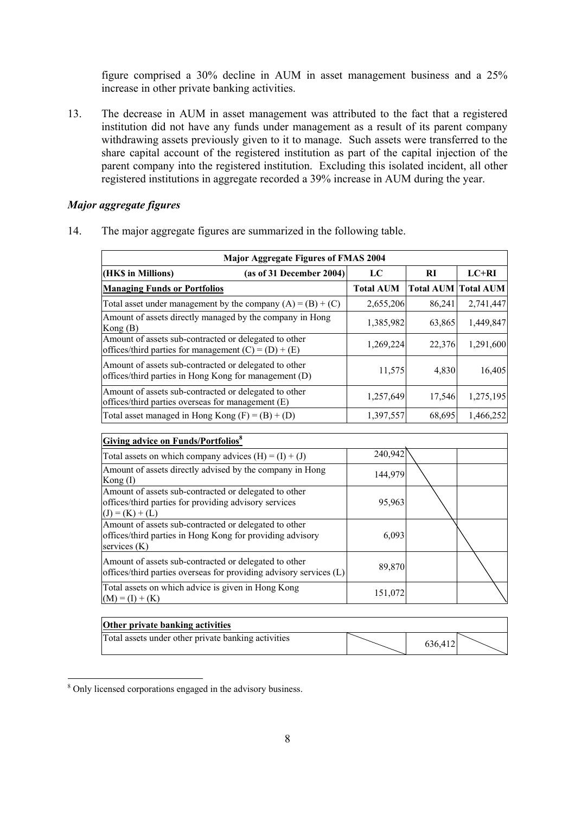figure comprised a 30% decline in AUM in asset management business and a 25% increase in other private banking activities.

13. The decrease in AUM in asset management was attributed to the fact that a registered institution did not have any funds under management as a result of its parent company withdrawing assets previously given to it to manage. Such assets were transferred to the share capital account of the registered institution as part of the capital injection of the parent company into the registered institution. Excluding this isolated incident, all other registered institutions in aggregate recorded a 39% increase in AUM during the year.

# *Major aggregate figures*

14. The major aggregate figures are summarized in the following table.

| <b>Major Aggregate Figures of FMAS 2004</b>                                                                     |                          |                  |        |                            |  |  |
|-----------------------------------------------------------------------------------------------------------------|--------------------------|------------------|--------|----------------------------|--|--|
| (HK\$ in Millions)                                                                                              | (as of 31 December 2004) | LC               | RI     | $LC+RI$                    |  |  |
| <b>Managing Funds or Portfolios</b>                                                                             |                          | <b>Total AUM</b> |        | <b>Total AUM Total AUM</b> |  |  |
| Total asset under management by the company $(A) = (B) + (C)$                                                   |                          | 2,655,206        | 86,241 | 2,741,447                  |  |  |
| Amount of assets directly managed by the company in Hong<br>Kong(B)                                             |                          | 1,385,982        | 63,865 | 1,449,847                  |  |  |
| Amount of assets sub-contracted or delegated to other<br>offices/third parties for management $(C) = (D) + (E)$ |                          | 1,269,224        | 22,376 | 1,291,600                  |  |  |
| Amount of assets sub-contracted or delegated to other<br>offices/third parties in Hong Kong for management (D)  |                          | 11,575           | 4,830  | 16,405                     |  |  |
| Amount of assets sub-contracted or delegated to other<br>offices/third parties overseas for management (E)      |                          | 1,257,649        | 17,546 | 1,275,195                  |  |  |
| Total asset managed in Hong Kong $(F) = (B) + (D)$                                                              |                          | 1,397,557        | 68,695 | 1,466,252                  |  |  |

| <b>Giving advice on Funds/Portfolios</b> <sup>8</sup>                                                                               |         |  |
|-------------------------------------------------------------------------------------------------------------------------------------|---------|--|
| Total assets on which company advices $(H) = (I) + (J)$                                                                             | 240,942 |  |
| Amount of assets directly advised by the company in Hong<br>Kong $(I)$                                                              | 144,979 |  |
| Amount of assets sub-contracted or delegated to other<br>offices/third parties for providing advisory services<br>$(J) = (K) + (L)$ | 95,963  |  |
| Amount of assets sub-contracted or delegated to other<br>offices/third parties in Hong Kong for providing advisory<br>services (K)  | 6,093   |  |
| Amount of assets sub-contracted or delegated to other<br>offices/third parties overseas for providing advisory services (L)         | 89,870  |  |
| Total assets on which advice is given in Hong Kong<br>$(M) = (I) + (K)$                                                             | 151,072 |  |

| <b>Other private banking activities</b>             |         |
|-----------------------------------------------------|---------|
| Total assets under other private banking activities | 636.412 |

<sup>&</sup>lt;sup>8</sup> Only licensed corporations engaged in the advisory business.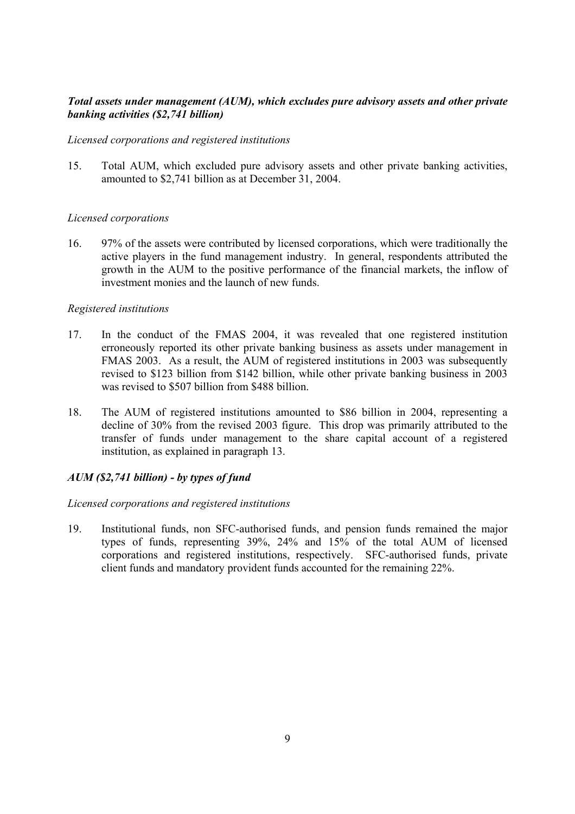# *Total assets under management (AUM), which excludes pure advisory assets and other private banking activities (\$2,741 billion)*

# *Licensed corporations and registered institutions*

15. Total AUM, which excluded pure advisory assets and other private banking activities, amounted to \$2,741 billion as at December 31, 2004.

# *Licensed corporations*

16. 97% of the assets were contributed by licensed corporations, which were traditionally the active players in the fund management industry. In general, respondents attributed the growth in the AUM to the positive performance of the financial markets, the inflow of investment monies and the launch of new funds.

# *Registered institutions*

- 17. In the conduct of the FMAS 2004, it was revealed that one registered institution erroneously reported its other private banking business as assets under management in FMAS 2003. As a result, the AUM of registered institutions in 2003 was subsequently revised to \$123 billion from \$142 billion, while other private banking business in 2003 was revised to \$507 billion from \$488 billion.
- 18. The AUM of registered institutions amounted to \$86 billion in 2004, representing a decline of 30% from the revised 2003 figure. This drop was primarily attributed to the transfer of funds under management to the share capital account of a registered institution, as explained in paragraph 13.

# *AUM (\$2,741 billion) - by types of fund*

# *Licensed corporations and registered institutions*

19. Institutional funds, non SFC-authorised funds, and pension funds remained the major types of funds, representing 39%, 24% and 15% of the total AUM of licensed corporations and registered institutions, respectively. SFC-authorised funds, private client funds and mandatory provident funds accounted for the remaining 22%.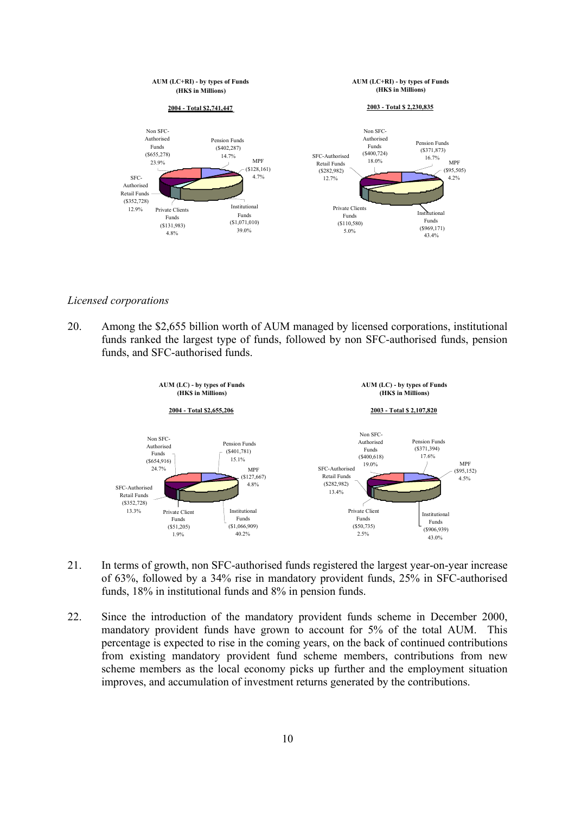

#### *Licensed corporations*

20. Among the \$2,655 billion worth of AUM managed by licensed corporations, institutional funds ranked the largest type of funds, followed by non SFC-authorised funds, pension funds, and SFC-authorised funds.



- 21. In terms of growth, non SFC-authorised funds registered the largest year-on-year increase of 63%, followed by a 34% rise in mandatory provident funds, 25% in SFC-authorised funds, 18% in institutional funds and 8% in pension funds.
- 22. Since the introduction of the mandatory provident funds scheme in December 2000, mandatory provident funds have grown to account for 5% of the total AUM. This percentage is expected to rise in the coming years, on the back of continued contributions from existing mandatory provident fund scheme members, contributions from new scheme members as the local economy picks up further and the employment situation improves, and accumulation of investment returns generated by the contributions.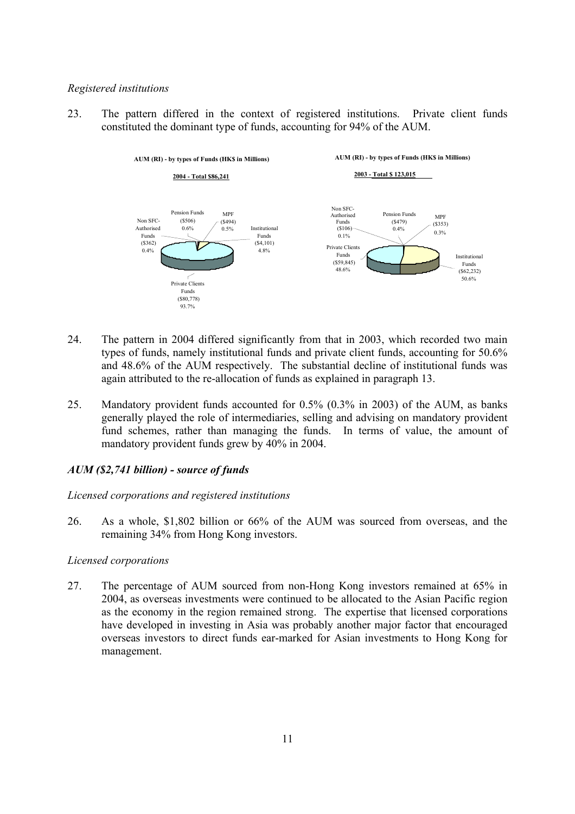#### *Registered institutions*

23. The pattern differed in the context of registered institutions. Private client funds constituted the dominant type of funds, accounting for 94% of the AUM.



- 24. The pattern in 2004 differed significantly from that in 2003, which recorded two main types of funds, namely institutional funds and private client funds, accounting for 50.6% and 48.6% of the AUM respectively. The substantial decline of institutional funds was again attributed to the re-allocation of funds as explained in paragraph 13.
- 25. Mandatory provident funds accounted for 0.5% (0.3% in 2003) of the AUM, as banks generally played the role of intermediaries, selling and advising on mandatory provident fund schemes, rather than managing the funds. In terms of value, the amount of mandatory provident funds grew by 40% in 2004.

# *AUM (\$2,741 billion) - source of funds*

# *Licensed corporations and registered institutions*

26. As a whole, \$1,802 billion or 66% of the AUM was sourced from overseas, and the remaining 34% from Hong Kong investors.

# *Licensed corporations*

27. The percentage of AUM sourced from non-Hong Kong investors remained at 65% in 2004, as overseas investments were continued to be allocated to the Asian Pacific region as the economy in the region remained strong. The expertise that licensed corporations have developed in investing in Asia was probably another major factor that encouraged overseas investors to direct funds ear-marked for Asian investments to Hong Kong for management.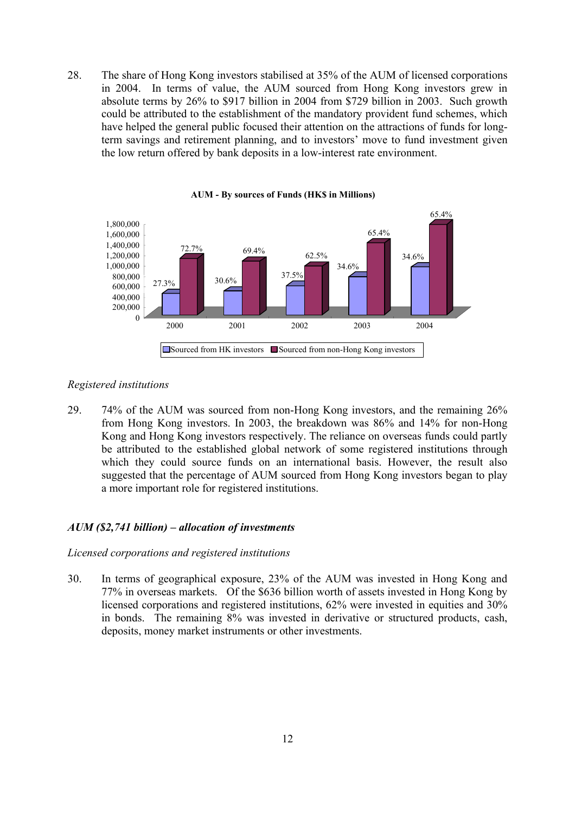28. The share of Hong Kong investors stabilised at 35% of the AUM of licensed corporations in 2004. In terms of value, the AUM sourced from Hong Kong investors grew in absolute terms by 26% to \$917 billion in 2004 from \$729 billion in 2003. Such growth could be attributed to the establishment of the mandatory provident fund schemes, which have helped the general public focused their attention on the attractions of funds for longterm savings and retirement planning, and to investors' move to fund investment given the low return offered by bank deposits in a low-interest rate environment.



**AUM - By sources of Funds (HK\$ in Millions)**

#### *Registered institutions*

29. 74% of the AUM was sourced from non-Hong Kong investors, and the remaining 26% from Hong Kong investors. In 2003, the breakdown was 86% and 14% for non-Hong Kong and Hong Kong investors respectively. The reliance on overseas funds could partly be attributed to the established global network of some registered institutions through which they could source funds on an international basis. However, the result also suggested that the percentage of AUM sourced from Hong Kong investors began to play a more important role for registered institutions.

#### *AUM (\$2,741 billion) – allocation of investments*

#### *Licensed corporations and registered institutions*

30. In terms of geographical exposure, 23% of the AUM was invested in Hong Kong and 77% in overseas markets. Of the \$636 billion worth of assets invested in Hong Kong by licensed corporations and registered institutions, 62% were invested in equities and 30% in bonds. The remaining 8% was invested in derivative or structured products, cash, deposits, money market instruments or other investments.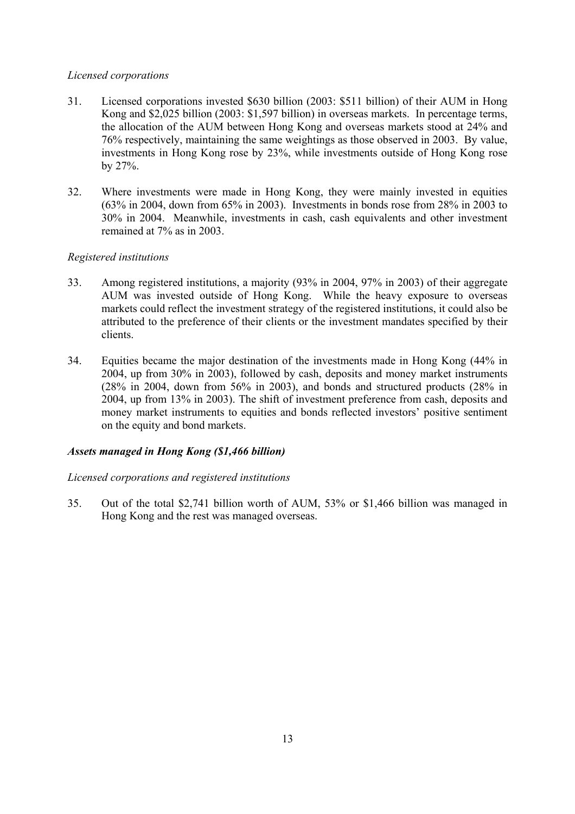# *Licensed corporations*

- 31. Licensed corporations invested \$630 billion (2003: \$511 billion) of their AUM in Hong Kong and \$2,025 billion (2003: \$1,597 billion) in overseas markets. In percentage terms, the allocation of the AUM between Hong Kong and overseas markets stood at 24% and 76% respectively, maintaining the same weightings as those observed in 2003. By value, investments in Hong Kong rose by 23%, while investments outside of Hong Kong rose by 27%.
- 32. Where investments were made in Hong Kong, they were mainly invested in equities (63% in 2004, down from 65% in 2003). Investments in bonds rose from 28% in 2003 to 30% in 2004. Meanwhile, investments in cash, cash equivalents and other investment remained at 7% as in 2003.

# *Registered institutions*

- 33. Among registered institutions, a majority (93% in 2004, 97% in 2003) of their aggregate AUM was invested outside of Hong Kong. While the heavy exposure to overseas markets could reflect the investment strategy of the registered institutions, it could also be attributed to the preference of their clients or the investment mandates specified by their clients.
- 34. Equities became the major destination of the investments made in Hong Kong (44% in 2004, up from 30% in 2003), followed by cash, deposits and money market instruments (28% in 2004, down from 56% in 2003), and bonds and structured products (28% in 2004, up from 13% in 2003). The shift of investment preference from cash, deposits and money market instruments to equities and bonds reflected investors' positive sentiment on the equity and bond markets.

# *Assets managed in Hong Kong (\$1,466 billion)*

# *Licensed corporations and registered institutions*

35. Out of the total \$2,741 billion worth of AUM, 53% or \$1,466 billion was managed in Hong Kong and the rest was managed overseas.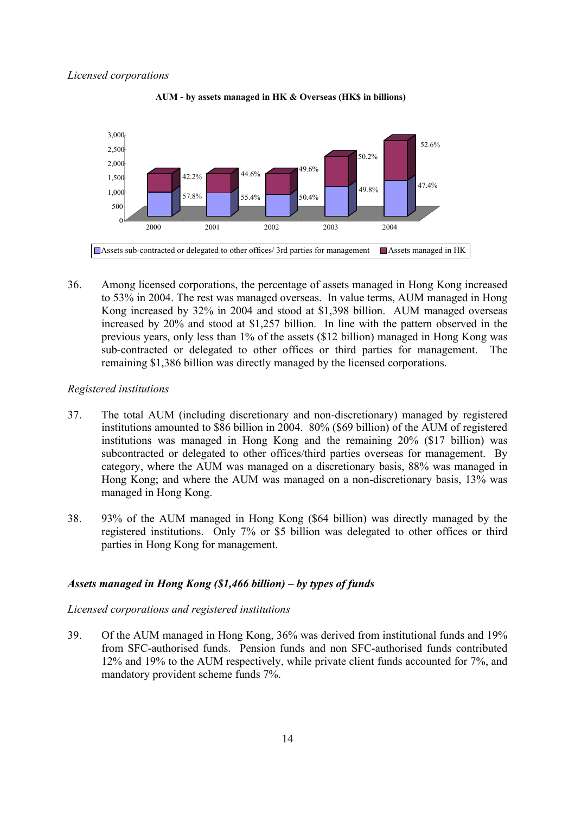

**AUM - by assets managed in HK & Overseas (HK\$ in billions)**

36. Among licensed corporations, the percentage of assets managed in Hong Kong increased to 53% in 2004. The rest was managed overseas. In value terms, AUM managed in Hong Kong increased by 32% in 2004 and stood at \$1,398 billion. AUM managed overseas increased by 20% and stood at \$1,257 billion. In line with the pattern observed in the previous years, only less than 1% of the assets (\$12 billion) managed in Hong Kong was sub-contracted or delegated to other offices or third parties for management. The remaining \$1,386 billion was directly managed by the licensed corporations.

#### *Registered institutions*

- 37. The total AUM (including discretionary and non-discretionary) managed by registered institutions amounted to \$86 billion in 2004. 80% (\$69 billion) of the AUM of registered institutions was managed in Hong Kong and the remaining 20% (\$17 billion) was subcontracted or delegated to other offices/third parties overseas for management. By category, where the AUM was managed on a discretionary basis, 88% was managed in Hong Kong; and where the AUM was managed on a non-discretionary basis, 13% was managed in Hong Kong.
- 38. 93% of the AUM managed in Hong Kong (\$64 billion) was directly managed by the registered institutions. Only 7% or \$5 billion was delegated to other offices or third parties in Hong Kong for management.

#### *Assets managed in Hong Kong (\$1,466 billion) – by types of funds*

#### *Licensed corporations and registered institutions*

39. Of the AUM managed in Hong Kong, 36% was derived from institutional funds and 19% from SFC-authorised funds. Pension funds and non SFC-authorised funds contributed 12% and 19% to the AUM respectively, while private client funds accounted for 7%, and mandatory provident scheme funds 7%.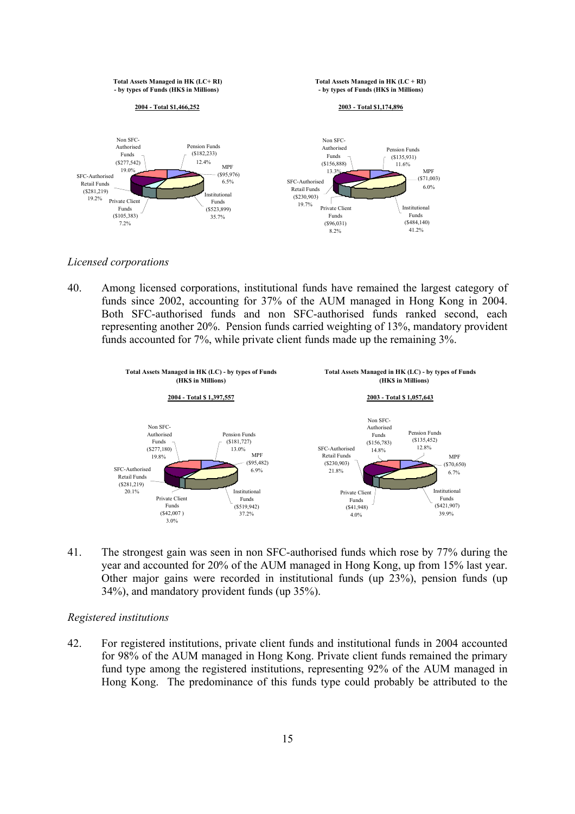

*Licensed corporations* 

40. Among licensed corporations, institutional funds have remained the largest category of funds since 2002, accounting for 37% of the AUM managed in Hong Kong in 2004. Both SFC-authorised funds and non SFC-authorised funds ranked second, each representing another 20%. Pension funds carried weighting of 13%, mandatory provident funds accounted for 7%, while private client funds made up the remaining 3%.



41. The strongest gain was seen in non SFC-authorised funds which rose by 77% during the year and accounted for 20% of the AUM managed in Hong Kong, up from 15% last year. Other major gains were recorded in institutional funds (up 23%), pension funds (up 34%), and mandatory provident funds (up 35%).

#### *Registered institutions*

42. For registered institutions, private client funds and institutional funds in 2004 accounted for 98% of the AUM managed in Hong Kong. Private client funds remained the primary fund type among the registered institutions, representing 92% of the AUM managed in Hong Kong. The predominance of this funds type could probably be attributed to the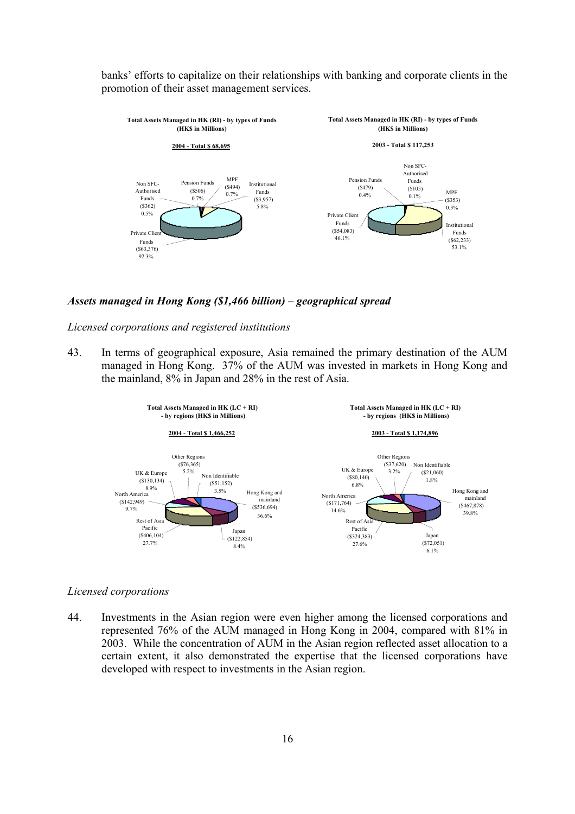banks' efforts to capitalize on their relationships with banking and corporate clients in the promotion of their asset management services.



*Assets managed in Hong Kong (\$1,466 billion) – geographical spread* 

*Licensed corporations and registered institutions* 

43. In terms of geographical exposure, Asia remained the primary destination of the AUM managed in Hong Kong. 37% of the AUM was invested in markets in Hong Kong and the mainland, 8% in Japan and 28% in the rest of Asia.



#### *Licensed corporations*

44. Investments in the Asian region were even higher among the licensed corporations and represented 76% of the AUM managed in Hong Kong in 2004, compared with 81% in 2003. While the concentration of AUM in the Asian region reflected asset allocation to a certain extent, it also demonstrated the expertise that the licensed corporations have developed with respect to investments in the Asian region.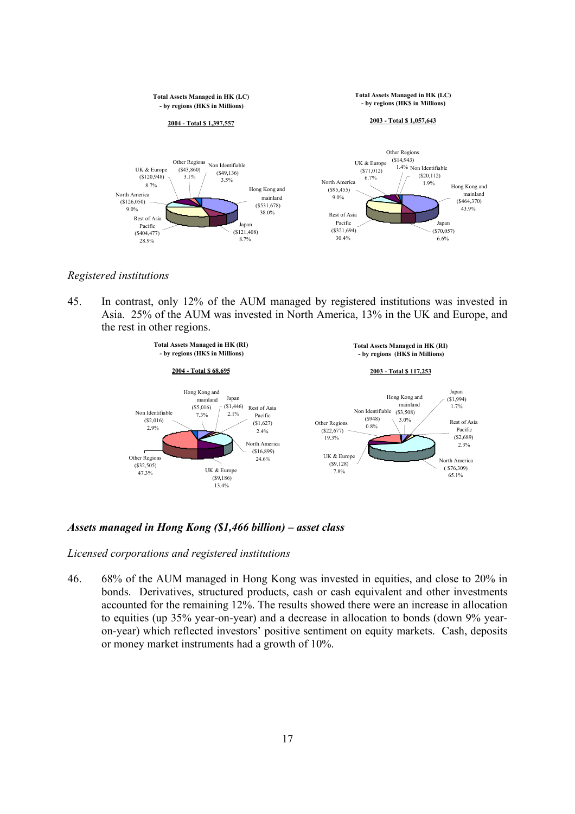

*Registered institutions* 

45. In contrast, only 12% of the AUM managed by registered institutions was invested in Asia. 25% of the AUM was invested in North America, 13% in the UK and Europe, and the rest in other regions.



*Assets managed in Hong Kong (\$1,466 billion) – asset class* 

*Licensed corporations and registered institutions* 

46. 68% of the AUM managed in Hong Kong was invested in equities, and close to 20% in bonds. Derivatives, structured products, cash or cash equivalent and other investments accounted for the remaining 12%. The results showed there were an increase in allocation to equities (up 35% year-on-year) and a decrease in allocation to bonds (down 9% yearon-year) which reflected investors' positive sentiment on equity markets. Cash, deposits or money market instruments had a growth of 10%.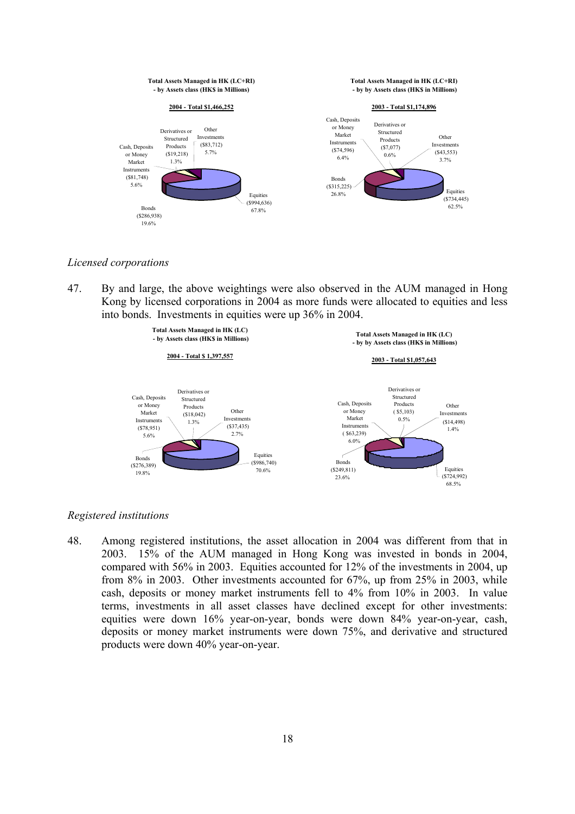

*Licensed corporations* 

47. By and large, the above weightings were also observed in the AUM managed in Hong Kong by licensed corporations in 2004 as more funds were allocated to equities and less into bonds. Investments in equities were up 36% in 2004.



#### *Registered institutions*

48. Among registered institutions, the asset allocation in 2004 was different from that in 2003. 15% of the AUM managed in Hong Kong was invested in bonds in 2004, compared with 56% in 2003. Equities accounted for 12% of the investments in 2004, up from 8% in 2003. Other investments accounted for 67%, up from 25% in 2003, while cash, deposits or money market instruments fell to 4% from 10% in 2003. In value terms, investments in all asset classes have declined except for other investments: equities were down 16% year-on-year, bonds were down 84% year-on-year, cash, deposits or money market instruments were down 75%, and derivative and structured products were down 40% year-on-year.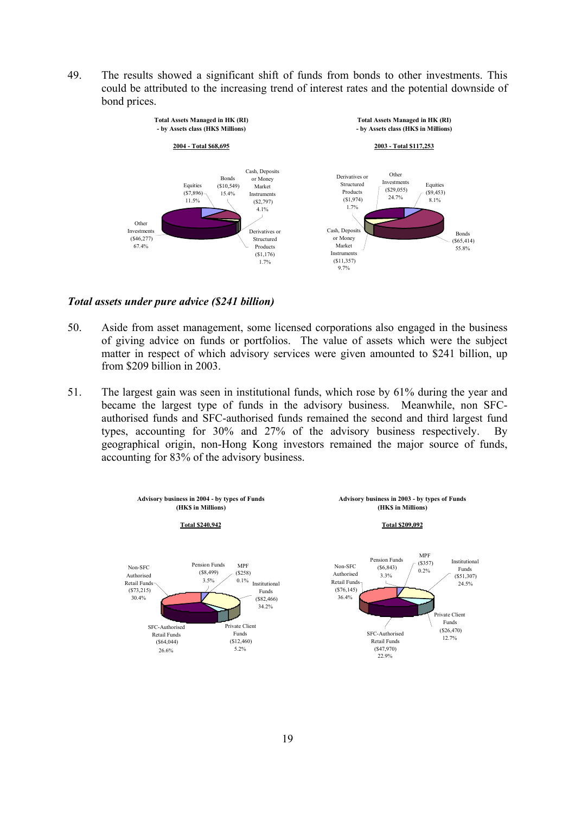49. The results showed a significant shift of funds from bonds to other investments. This could be attributed to the increasing trend of interest rates and the potential downside of bond prices.



#### *Total assets under pure advice (\$241 billion)*

- 50. Aside from asset management, some licensed corporations also engaged in the business of giving advice on funds or portfolios. The value of assets which were the subject matter in respect of which advisory services were given amounted to \$241 billion, up from \$209 billion in 2003.
- 51. The largest gain was seen in institutional funds, which rose by 61% during the year and became the largest type of funds in the advisory business. Meanwhile, non SFCauthorised funds and SFC-authorised funds remained the second and third largest fund types, accounting for 30% and 27% of the advisory business respectively. By geographical origin, non-Hong Kong investors remained the major source of funds, accounting for 83% of the advisory business.

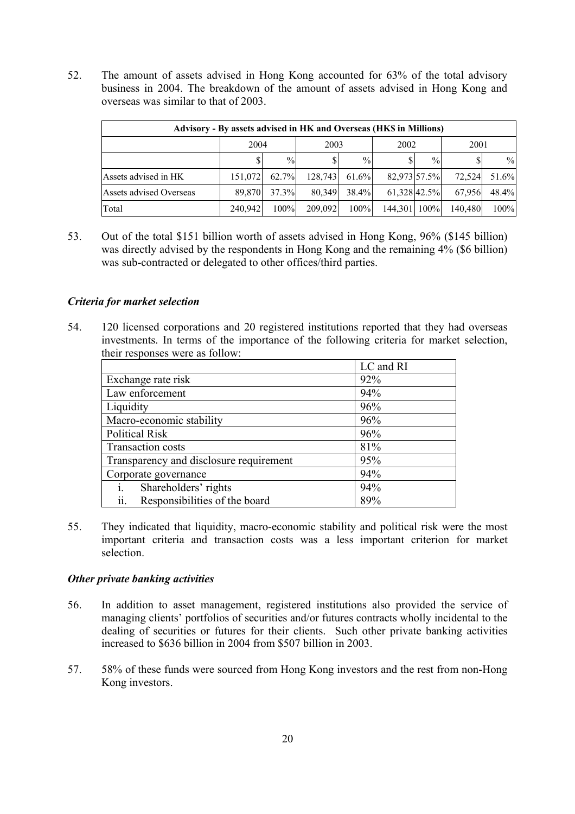52. The amount of assets advised in Hong Kong accounted for 63% of the total advisory business in 2004. The breakdown of the amount of assets advised in Hong Kong and overseas was similar to that of 2003.

| Advisory - By assets advised in HK and Overseas (HK\$ in Millions) |         |               |         |               |              |               |         |               |
|--------------------------------------------------------------------|---------|---------------|---------|---------------|--------------|---------------|---------|---------------|
|                                                                    | 2004    |               | 2003    |               | 2002         |               | 2001    |               |
|                                                                    |         | $\frac{0}{0}$ |         | $\frac{0}{0}$ |              | $\frac{0}{0}$ |         | $\frac{0}{0}$ |
| Assets advised in HK                                               | 151.072 | 62.7%         | 128.743 | 61.6%         | 82,973 57.5% |               | 72.524  | 51.6%         |
| Assets advised Overseas                                            | 89.870  | 37.3%         | 80.349  | 38.4%         | 61,328 42.5% |               | 67,956  | 48.4%         |
| Total                                                              | 240,942 | 100%          | 209,092 | 100%          | 144.301 100% |               | 140,480 | 100%          |

53. Out of the total \$151 billion worth of assets advised in Hong Kong, 96% (\$145 billion) was directly advised by the respondents in Hong Kong and the remaining 4% (\$6 billion) was sub-contracted or delegated to other offices/third parties.

# *Criteria for market selection*

54. 120 licensed corporations and 20 registered institutions reported that they had overseas investments. In terms of the importance of the following criteria for market selection, their responses were as follow:

|                                         | LC and RI |
|-----------------------------------------|-----------|
| Exchange rate risk                      | 92%       |
| Law enforcement                         | 94%       |
| Liquidity                               | 96%       |
| Macro-economic stability                | 96%       |
| <b>Political Risk</b>                   | 96%       |
| Transaction costs                       | 81%       |
| Transparency and disclosure requirement | 95%       |
| Corporate governance                    | 94%       |
| Shareholders' rights<br>1.              | 94%       |
| ii.<br>Responsibilities of the board    | 89%       |

55. They indicated that liquidity, macro-economic stability and political risk were the most important criteria and transaction costs was a less important criterion for market selection.

# *Other private banking activities*

- 56. In addition to asset management, registered institutions also provided the service of managing clients' portfolios of securities and/or futures contracts wholly incidental to the dealing of securities or futures for their clients. Such other private banking activities increased to \$636 billion in 2004 from \$507 billion in 2003.
- 57. 58% of these funds were sourced from Hong Kong investors and the rest from non-Hong Kong investors.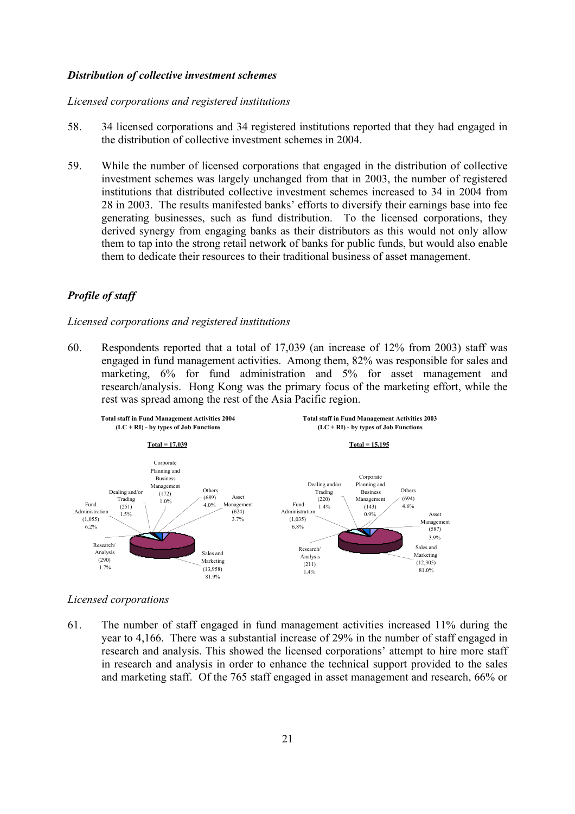#### *Distribution of collective investment schemes*

#### *Licensed corporations and registered institutions*

- 58. 34 licensed corporations and 34 registered institutions reported that they had engaged in the distribution of collective investment schemes in 2004.
- 59. While the number of licensed corporations that engaged in the distribution of collective investment schemes was largely unchanged from that in 2003, the number of registered institutions that distributed collective investment schemes increased to 34 in 2004 from 28 in 2003. The results manifested banks' efforts to diversify their earnings base into fee generating businesses, such as fund distribution. To the licensed corporations, they derived synergy from engaging banks as their distributors as this would not only allow them to tap into the strong retail network of banks for public funds, but would also enable them to dedicate their resources to their traditional business of asset management.

# *Profile of staff*

#### *Licensed corporations and registered institutions*

60. Respondents reported that a total of 17,039 (an increase of 12% from 2003) staff was engaged in fund management activities. Among them, 82% was responsible for sales and marketing, 6% for fund administration and 5% for asset management and research/analysis. Hong Kong was the primary focus of the marketing effort, while the rest was spread among the rest of the Asia Pacific region.



# *Licensed corporations*

61. The number of staff engaged in fund management activities increased 11% during the year to 4,166. There was a substantial increase of 29% in the number of staff engaged in research and analysis. This showed the licensed corporations' attempt to hire more staff in research and analysis in order to enhance the technical support provided to the sales and marketing staff. Of the 765 staff engaged in asset management and research, 66% or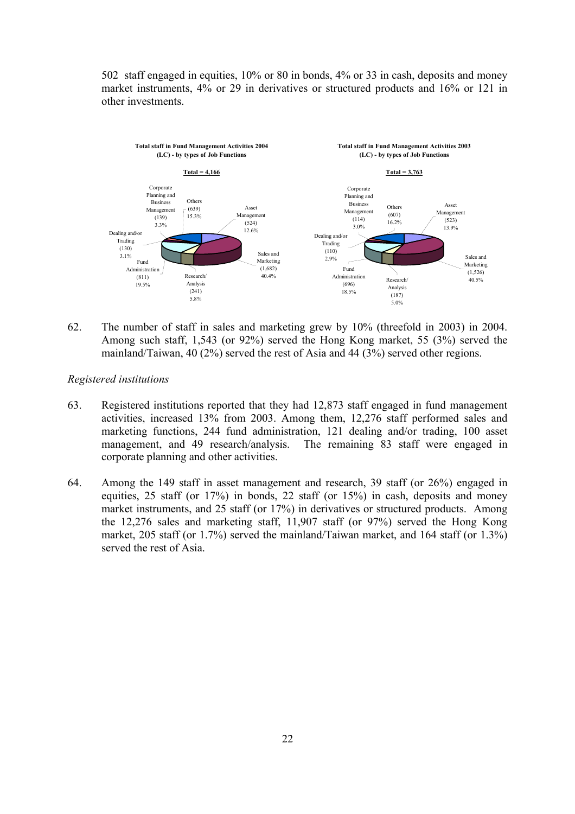502 staff engaged in equities, 10% or 80 in bonds, 4% or 33 in cash, deposits and money market instruments, 4% or 29 in derivatives or structured products and 16% or 121 in other investments.



62. The number of staff in sales and marketing grew by 10% (threefold in 2003) in 2004. Among such staff, 1,543 (or 92%) served the Hong Kong market, 55 (3%) served the mainland/Taiwan, 40 (2%) served the rest of Asia and 44 (3%) served other regions.

*Registered institutions* 

- 63. Registered institutions reported that they had 12,873 staff engaged in fund management activities, increased 13% from 2003. Among them, 12,276 staff performed sales and marketing functions, 244 fund administration, 121 dealing and/or trading, 100 asset management, and 49 research/analysis. The remaining 83 staff were engaged in corporate planning and other activities.
- 64. Among the 149 staff in asset management and research, 39 staff (or 26%) engaged in equities, 25 staff (or 17%) in bonds, 22 staff (or 15%) in cash, deposits and money market instruments, and 25 staff (or 17%) in derivatives or structured products. Among the 12,276 sales and marketing staff, 11,907 staff (or 97%) served the Hong Kong market, 205 staff (or 1.7%) served the mainland/Taiwan market, and 164 staff (or 1.3%) served the rest of Asia.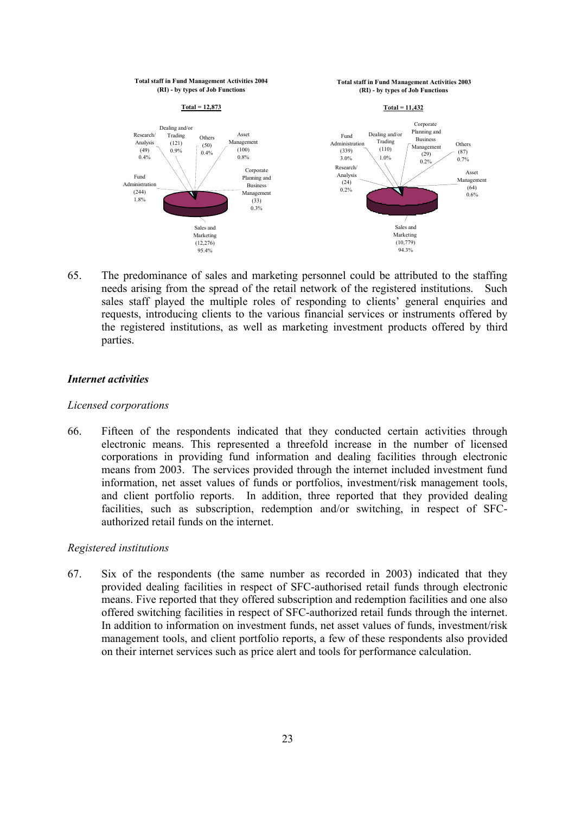

65. The predominance of sales and marketing personnel could be attributed to the staffing needs arising from the spread of the retail network of the registered institutions. Such sales staff played the multiple roles of responding to clients' general enquiries and requests, introducing clients to the various financial services or instruments offered by the registered institutions, as well as marketing investment products offered by third parties.

#### *Internet activities*

#### *Licensed corporations*

66. Fifteen of the respondents indicated that they conducted certain activities through electronic means. This represented a threefold increase in the number of licensed corporations in providing fund information and dealing facilities through electronic means from 2003. The services provided through the internet included investment fund information, net asset values of funds or portfolios, investment/risk management tools, and client portfolio reports. In addition, three reported that they provided dealing facilities, such as subscription, redemption and/or switching, in respect of SFCauthorized retail funds on the internet.

#### *Registered institutions*

67. Six of the respondents (the same number as recorded in 2003) indicated that they provided dealing facilities in respect of SFC-authorised retail funds through electronic means. Five reported that they offered subscription and redemption facilities and one also offered switching facilities in respect of SFC-authorized retail funds through the internet. In addition to information on investment funds, net asset values of funds, investment/risk management tools, and client portfolio reports, a few of these respondents also provided on their internet services such as price alert and tools for performance calculation.